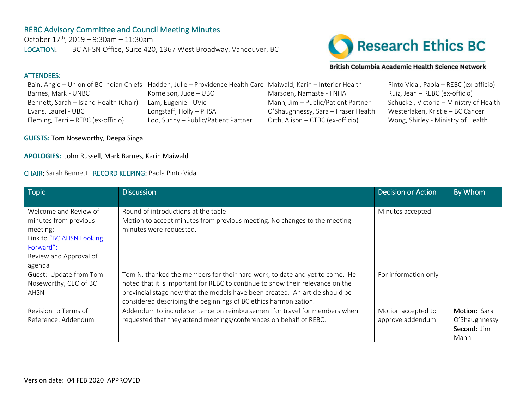# REBC Advisory Committee and Council Meeting Minutes

October  $17^{th}$ , 2019 – 9:30am – 11:30am LOCATION: BC AHSN Office, Suite 420, 1367 West Broadway, Vancouver, BC



#### British Columbia Academic Health Science Network

# ATTENDEES: Bain, Angie – Union of BC Indian Chiefs Hadden, Julie – Providence Health Care Maiwald, Karin – Interior Health Pinto Vidal, Paola – REBC (ex-officio) Barnes, Mark - UNBC Kornelson, Jude – UBC Marsden, Namaste - FNHA Ruiz, Jean – REBC (ex-officio) Bennett, Sarah – Island Health (Chair) Lam, Eugenie - UVic Mann, Jim – Public/Patient Partner Schuckel, Victoria – Ministry of Health Evans, Laurel - UBC Longstaff, Holly – PHSA O'Shaughnessy, Sara – Fraser Health Westerlaken, Kristie – BC Cancer Fleming, Terri – REBC (ex-officio) Loo, Sunny – Public/Patient Partner Orth, Alison – CTBC (ex-officio) Wong, Shirley - Ministry of Health

**GUESTS:** Tom Noseworthy, Deepa Singal

### **APOLOGIES:** John Russell, Mark Barnes, Karin Maiwald

### CHAIR: Sarah Bennett RECORD KEEPING: Paola Pinto Vidal

| <b>Topic</b>             | <b>Discussion</b>                                                              | <b>Decision or Action</b> | By Whom       |
|--------------------------|--------------------------------------------------------------------------------|---------------------------|---------------|
|                          |                                                                                |                           |               |
| Welcome and Review of    | Round of introductions at the table                                            | Minutes accepted          |               |
| minutes from previous    | Motion to accept minutes from previous meeting. No changes to the meeting      |                           |               |
| meeting;                 | minutes were requested.                                                        |                           |               |
| Link to "BC AHSN Looking |                                                                                |                           |               |
| Forward";                |                                                                                |                           |               |
| Review and Approval of   |                                                                                |                           |               |
| agenda                   |                                                                                |                           |               |
| Guest: Update from Tom   | Tom N. thanked the members for their hard work, to date and yet to come. He    | For information only      |               |
| Noseworthy, CEO of BC    | noted that it is important for REBC to continue to show their relevance on the |                           |               |
| AHSN                     | provincial stage now that the models have been created. An article should be   |                           |               |
|                          | considered describing the beginnings of BC ethics harmonization.               |                           |               |
| Revision to Terms of     | Addendum to include sentence on reimbursement for travel for members when      | Motion accepted to        | Motion: Sara  |
| Reference: Addendum      | requested that they attend meetings/conferences on behalf of REBC.             | approve addendum          | O'Shaughnessy |
|                          |                                                                                |                           | Second: Jim   |
|                          |                                                                                |                           | Mann          |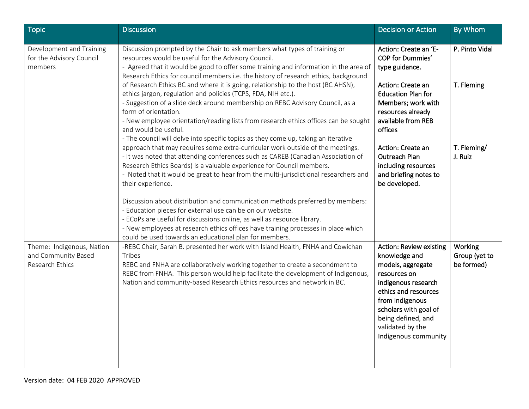| <b>Topic</b>                                                        | <b>Discussion</b>                                                                                                                                                                                                                                                                                                                                                                                                                                               | <b>Decision or Action</b>                                                                                                                                                                                                                         | By Whom                                |
|---------------------------------------------------------------------|-----------------------------------------------------------------------------------------------------------------------------------------------------------------------------------------------------------------------------------------------------------------------------------------------------------------------------------------------------------------------------------------------------------------------------------------------------------------|---------------------------------------------------------------------------------------------------------------------------------------------------------------------------------------------------------------------------------------------------|----------------------------------------|
| Development and Training<br>for the Advisory Council<br>members     | Discussion prompted by the Chair to ask members what types of training or<br>resources would be useful for the Advisory Council.<br>- Agreed that it would be good to offer some training and information in the area of<br>Research Ethics for council members i.e. the history of research ethics, background                                                                                                                                                 | Action: Create an 'E-<br>COP for Dummies'<br>type guidance.                                                                                                                                                                                       | P. Pinto Vidal                         |
|                                                                     | of Research Ethics BC and where it is going, relationship to the host (BC AHSN),<br>ethics jargon, regulation and policies (TCPS, FDA, NIH etc.).<br>- Suggestion of a slide deck around membership on REBC Advisory Council, as a<br>form of orientation.<br>- New employee orientation/reading lists from research ethics offices can be sought<br>and would be useful.<br>- The council will delve into specific topics as they come up, taking an iterative | Action: Create an<br><b>Education Plan for</b><br>Members; work with<br>resources already<br>available from REB<br>offices                                                                                                                        | T. Fleming                             |
|                                                                     | approach that may requires some extra-curricular work outside of the meetings.<br>- It was noted that attending conferences such as CAREB (Canadian Association of<br>Research Ethics Boards) is a valuable experience for Council members.<br>- Noted that it would be great to hear from the multi-jurisdictional researchers and<br>their experience.                                                                                                        | Action: Create an<br><b>Outreach Plan</b><br>including resources<br>and briefing notes to<br>be developed.                                                                                                                                        | T. Fleming/<br>J. Ruiz                 |
|                                                                     | Discussion about distribution and communication methods preferred by members:<br>- Education pieces for external use can be on our website.<br>- ECoPs are useful for discussions online, as well as resource library.<br>- New employees at research ethics offices have training processes in place which<br>could be used towards an educational plan for members.                                                                                           |                                                                                                                                                                                                                                                   |                                        |
| Theme: Indigenous, Nation<br>and Community Based<br>Research Ethics | -REBC Chair, Sarah B. presented her work with Island Health, FNHA and Cowichan<br>Tribes<br>REBC and FNHA are collaboratively working together to create a secondment to<br>REBC from FNHA. This person would help facilitate the development of Indigenous,<br>Nation and community-based Research Ethics resources and network in BC.                                                                                                                         | <b>Action: Review existing</b><br>knowledge and<br>models, aggregate<br>resources on<br>indigenous research<br>ethics and resources<br>from Indigenous<br>scholars with goal of<br>being defined, and<br>validated by the<br>Indigenous community | Working<br>Group (yet to<br>be formed) |